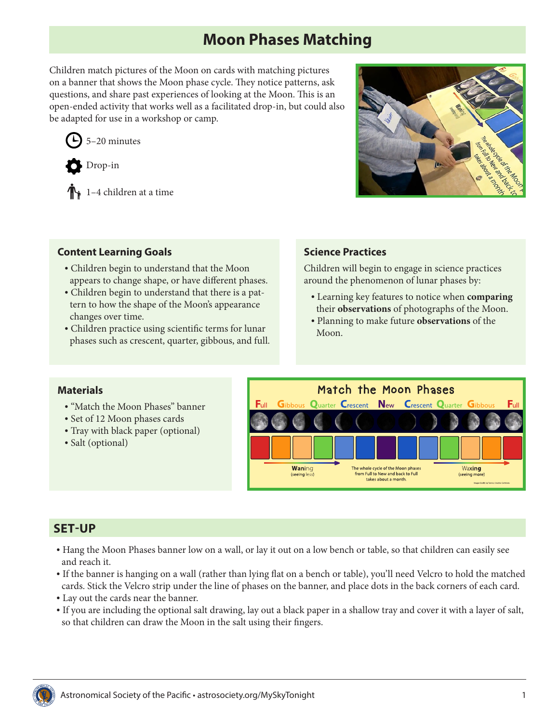# **Moon Phases Matching**

Children match pictures of the Moon on cards with matching pictures on a banner that shows the Moon phase cycle. They notice patterns, ask questions, and share past experiences of looking at the Moon. This is an open-ended activity that works well as a facilitated drop-in, but could also be adapted for use in a workshop or camp.

5–20 minutes



 $\mathbb{T}_1$  1–4 children at a time



#### **Content Learning Goals**

- Children begin to understand that the Moon appears to change shape, or have different phases.
- Children begin to understand that there is a pattern to how the shape of the Moon's appearance changes over time.
- Children practice using scientific terms for lunar phases such as crescent, quarter, gibbous, and full.

#### **Science Practices**

Children will begin to engage in science practices around the phenomenon of lunar phases by:

- Learning key features to notice when **comparing** their **observations** of photographs of the Moon.
- Planning to make future **observations** of the Moon.

#### **Materials**

- "Match the Moon Phases" banner
- Set of 12 Moon phases cards
- Tray with black paper (optional)
- Salt (optional)



## **SET-UP**

- Hang the Moon Phases banner low on a wall, or lay it out on a low bench or table, so that children can easily see and reach it.
- If the banner is hanging on a wall (rather than lying flat on a bench or table), you'll need Velcro to hold the matched cards. Stick the Velcro strip under the line of phases on the banner, and place dots in the back corners of each card.
- Lay out the cards near the banner.
- If you are including the optional salt drawing, lay out a black paper in a shallow tray and cover it with a layer of salt, so that children can draw the Moon in the salt using their fingers.

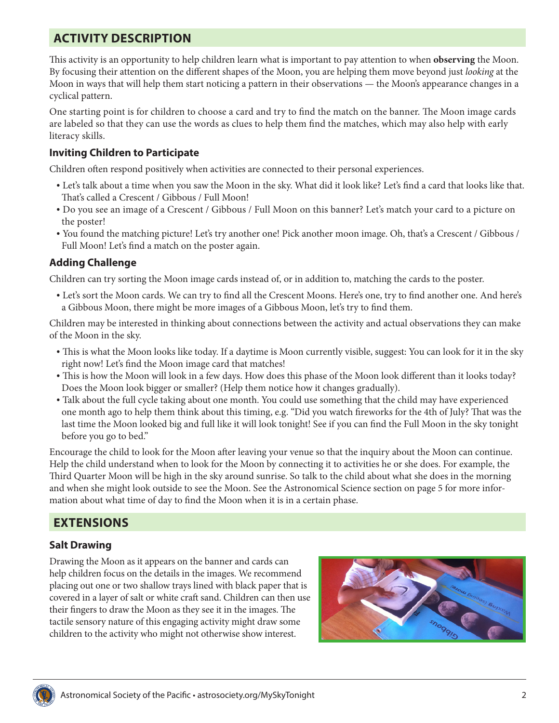# **ACTIVITY DESCRIPTION**

This activity is an opportunity to help children learn what is important to pay attention to when **observing** the Moon. By focusing their attention on the different shapes of the Moon, you are helping them move beyond just *looking* at the Moon in ways that will help them start noticing a pattern in their observations — the Moon's appearance changes in a cyclical pattern.

One starting point is for children to choose a card and try to find the match on the banner. The Moon image cards are labeled so that they can use the words as clues to help them find the matches, which may also help with early literacy skills.

#### **Inviting Children to Participate**

Children often respond positively when activities are connected to their personal experiences.

- Let's talk about a time when you saw the Moon in the sky. What did it look like? Let's find a card that looks like that. That's called a Crescent / Gibbous / Full Moon!
- Do you see an image of a Crescent / Gibbous / Full Moon on this banner? Let's match your card to a picture on the poster!
- You found the matching picture! Let's try another one! Pick another moon image. Oh, that's a Crescent / Gibbous / Full Moon! Let's find a match on the poster again.

#### **Adding Challenge**

Children can try sorting the Moon image cards instead of, or in addition to, matching the cards to the poster.

• Let's sort the Moon cards. We can try to find all the Crescent Moons. Here's one, try to find another one. And here's a Gibbous Moon, there might be more images of a Gibbous Moon, let's try to find them.

Children may be interested in thinking about connections between the activity and actual observations they can make of the Moon in the sky.

- This is what the Moon looks like today. If a daytime is Moon currently visible, suggest: You can look for it in the sky right now! Let's find the Moon image card that matches!
- This is how the Moon will look in a few days. How does this phase of the Moon look different than it looks today? Does the Moon look bigger or smaller? (Help them notice how it changes gradually).
- Talk about the full cycle taking about one month. You could use something that the child may have experienced one month ago to help them think about this timing, e.g. "Did you watch fireworks for the 4th of July? That was the last time the Moon looked big and full like it will look tonight! See if you can find the Full Moon in the sky tonight before you go to bed."

Encourage the child to look for the Moon after leaving your venue so that the inquiry about the Moon can continue. Help the child understand when to look for the Moon by connecting it to activities he or she does. For example, the Third Quarter Moon will be high in the sky around sunrise. So talk to the child about what she does in the morning and when she might look outside to see the Moon. See the Astronomical Science section on [page 5](#page-4-0) for more information about what time of day to find the Moon when it is in a certain phase.

# **EXTENSIONS**

#### **Salt Drawing**

Drawing the Moon as it appears on the banner and cards can help children focus on the details in the images. We recommend placing out one or two shallow trays lined with black paper that is covered in a layer of salt or white craft sand. Children can then use their fingers to draw the Moon as they see it in the images. The tactile sensory nature of this engaging activity might draw some children to the activity who might not otherwise show interest.



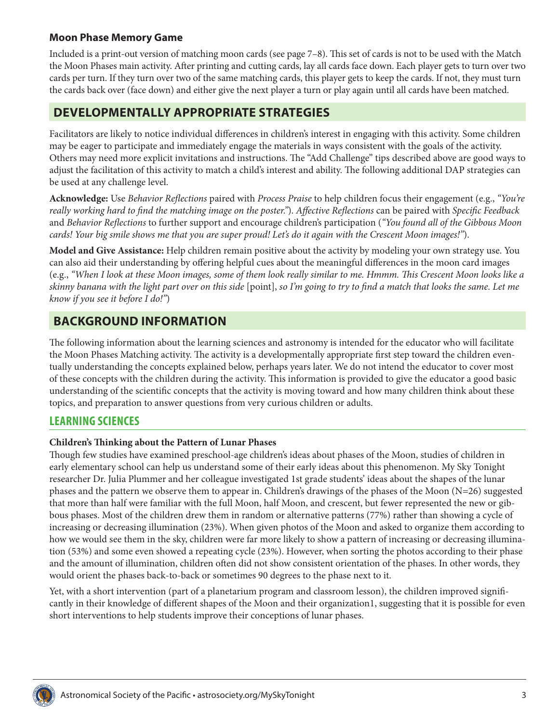#### **Moon Phase Memory Game**

Included is a print-out version of matching moon cards (see page 7–8). This set of cards is not to be used with the Match the Moon Phases main activity. After printing and cutting cards, lay all cards face down. Each player gets to turn over two cards per turn. If they turn over two of the same matching cards, this player gets to keep the cards. If not, they must turn the cards back over (face down) and either give the next player a turn or play again until all cards have been matched.

## **DEVELOPMENTALLY APPROPRIATE STRATEGIES**

Facilitators are likely to notice individual differences in children's interest in engaging with this activity. Some children may be eager to participate and immediately engage the materials in ways consistent with the goals of the activity. Others may need more explicit invitations and instructions. The "Add Challenge" tips described above are good ways to adjust the facilitation of this activity to match a child's interest and ability. The following additional DAP strategies can be used at any challenge level.

**Acknowledge:** Use *Behavior Reflections* paired with *Process Praise* to help children focus their engagement (e.g., *"You're really working hard to find the matching image on the poster."*). *Affective Reflections* can be paired with *Specific Feedback* and *Behavior Reflections* to further support and encourage children's participation (*"You found all of the Gibbous Moon cards! Your big smile shows me that you are super proud! Let's do it again with the Crescent Moon images!"*).

**Model and Give Assistance:** Help children remain positive about the activity by modeling your own strategy use. You can also aid their understanding by offering helpful cues about the meaningful differences in the moon card images (e.g., *"When I look at these Moon images, some of them look really similar to me. Hmmm. This Crescent Moon looks like a skinny banana with the light part over on this side* [point], *so I'm going to try to find a match that looks the same. Let me know if you see it before I do!"*)

## **BACKGROUND INFORMATION**

The following information about the learning sciences and astronomy is intended for the educator who will facilitate the Moon Phases Matching activity. The activity is a developmentally appropriate first step toward the children eventually understanding the concepts explained below, perhaps years later. We do not intend the educator to cover most of these concepts with the children during the activity. This information is provided to give the educator a good basic understanding of the scientific concepts that the activity is moving toward and how many children think about these topics, and preparation to answer questions from very curious children or adults.

## **LEARNING SCIENCES**

#### **Children's Thinking about the Pattern of Lunar Phases**

Though few studies have examined preschool-age children's ideas about phases of the Moon, studies of children in early elementary school can help us understand some of their early ideas about this phenomenon. My Sky Tonight researcher Dr. Julia Plummer and her colleague investigated 1st grade students' ideas about the shapes of the lunar phases and the pattern we observe them to appear in. Children's drawings of the phases of the Moon (N=26) suggested that more than half were familiar with the full Moon, half Moon, and crescent, but fewer represented the new or gibbous phases. Most of the children drew them in random or alternative patterns (77%) rather than showing a cycle of increasing or decreasing illumination (23%). When given photos of the Moon and asked to organize them according to how we would see them in the sky, children were far more likely to show a pattern of increasing or decreasing illumination (53%) and some even showed a repeating cycle (23%). However, when sorting the photos according to their phase and the amount of illumination, children often did not show consistent orientation of the phases. In other words, they would orient the phases back-to-back or sometimes 90 degrees to the phase next to it.

Yet, with a short intervention (part of a planetarium program and classroom lesson), the children improved significantly in their knowledge of different shapes of the Moon and their organization1, suggesting that it is possible for even short interventions to help students improve their conceptions of lunar phases.

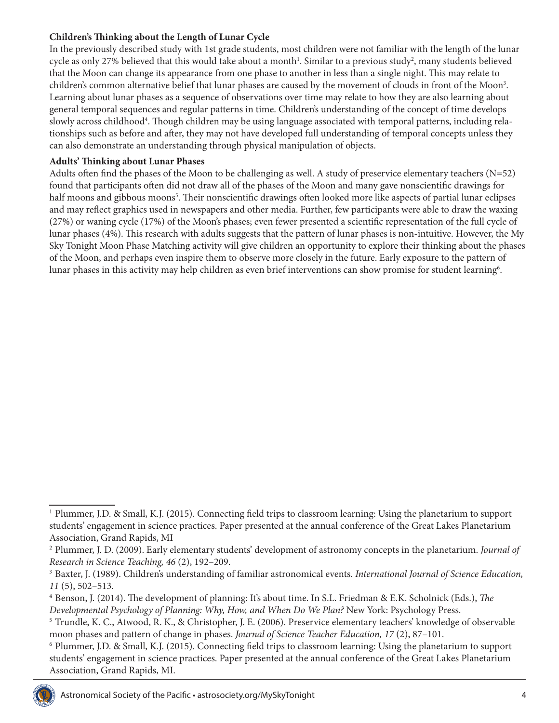#### **Children's Thinking about the Length of Lunar Cycle**

In the previously described study with 1st grade students, most children were not familiar with the length of the lunar cycle as only 27% believed that this would take about a month<sup>1</sup>. Similar to a previous study<sup>2</sup>, many students believed that the Moon can change its appearance from one phase to another in less than a single night. This may relate to children's common alternative belief that lunar phases are caused by the movement of clouds in front of the Moon<sup>3</sup>. Learning about lunar phases as a sequence of observations over time may relate to how they are also learning about general temporal sequences and regular patterns in time. Children's understanding of the concept of time develops slowly across childhood<sup>4</sup>. Though children may be using language associated with temporal patterns, including relationships such as before and after, they may not have developed full understanding of temporal concepts unless they can also demonstrate an understanding through physical manipulation of objects.

#### **Adults' Thinking about Lunar Phases**

Adults often find the phases of the Moon to be challenging as well. A study of preservice elementary teachers (N=52) found that participants often did not draw all of the phases of the Moon and many gave nonscientific drawings for half moons and gibbous moons<sup>5</sup>. Their nonscientific drawings often looked more like aspects of partial lunar eclipses and may reflect graphics used in newspapers and other media. Further, few participants were able to draw the waxing (27%) or waning cycle (17%) of the Moon's phases; even fewer presented a scientific representation of the full cycle of lunar phases (4%). This research with adults suggests that the pattern of lunar phases is non-intuitive. However, the My Sky Tonight Moon Phase Matching activity will give children an opportunity to explore their thinking about the phases of the Moon, and perhaps even inspire them to observe more closely in the future. Early exposure to the pattern of lunar phases in this activity may help children as even brief interventions can show promise for student learning $^6$ .

<sup>6</sup> Plummer, J.D. & Small, K.J. (2015). Connecting field trips to classroom learning: Using the planetarium to support students' engagement in science practices. Paper presented at the annual conference of the Great Lakes Planetarium Association, Grand Rapids, MI.



<sup>1</sup> Plummer, J.D. & Small, K.J. (2015). Connecting field trips to classroom learning: Using the planetarium to support students' engagement in science practices. Paper presented at the annual conference of the Great Lakes Planetarium Association, Grand Rapids, MI

<sup>2</sup> Plummer, J. D. (2009). Early elementary students' development of astronomy concepts in the planetarium. *Journal of Research in Science Teaching, 46* (2), 192–209.

<sup>3</sup> Baxter, J. (1989). Children's understanding of familiar astronomical events. *International Journal of Science Education, 11* (5), 502–513.

<sup>4</sup> Benson, J. (2014). The development of planning: It's about time. In S.L. Friedman & E.K. Scholnick (Eds.), *The Developmental Psychology of Planning: Why, How, and When Do We Plan?* New York: Psychology Press.

<sup>5</sup> Trundle, K. C., Atwood, R. K., & Christopher, J. E. (2006). Preservice elementary teachers' knowledge of observable moon phases and pattern of change in phases. *Journal of Science Teacher Education, 17* (2), 87–101.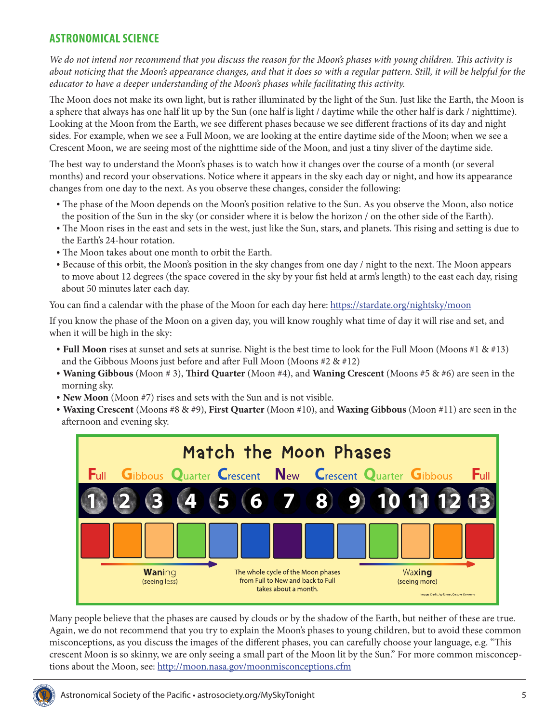## <span id="page-4-0"></span>**ASTRONOMICAL SCIENCE**

*We do not intend nor recommend that you discuss the reason for the Moon's phases with young children. This activity is about noticing that the Moon's appearance changes, and that it does so with a regular pattern. Still, it will be helpful for the educator to have a deeper understanding of the Moon's phases while facilitating this activity.*

The Moon does not make its own light, but is rather illuminated by the light of the Sun. Just like the Earth, the Moon is a sphere that always has one half lit up by the Sun (one half is light / daytime while the other half is dark / nighttime). Looking at the Moon from the Earth, we see different phases because we see different fractions of its day and night sides. For example, when we see a Full Moon, we are looking at the entire daytime side of the Moon; when we see a Crescent Moon, we are seeing most of the nighttime side of the Moon, and just a tiny sliver of the daytime side.

The best way to understand the Moon's phases is to watch how it changes over the course of a month (or several months) and record your observations. Notice where it appears in the sky each day or night, and how its appearance changes from one day to the next. As you observe these changes, consider the following:

- The phase of the Moon depends on the Moon's position relative to the Sun. As you observe the Moon, also notice the position of the Sun in the sky (or consider where it is below the horizon / on the other side of the Earth).
- The Moon rises in the east and sets in the west, just like the Sun, stars, and planets. This rising and setting is due to the Earth's 24-hour rotation.
- The Moon takes about one month to orbit the Earth.
- Because of this orbit, the Moon's position in the sky changes from one day / night to the next. The Moon appears to move about 12 degrees (the space covered in the sky by your fist held at arm's length) to the east each day, rising about 50 minutes later each day.

You can find a calendar with the phase of the Moon for each day here: <https://stardate.org/nightsky/moon>

If you know the phase of the Moon on a given day, you will know roughly what time of day it will rise and set, and when it will be high in the sky:

- **• Full Moon** rises at sunset and sets at sunrise. Night is the best time to look for the Full Moon (Moons #1 & #13) and the Gibbous Moons just before and after Full Moon (Moons #2 & #12)
- **• Waning Gibbous** (Moon # 3), **Third Quarter** (Moon #4), and **Waning Crescent** (Moons #5 & #6) are seen in the morning sky.
- **• New Moon** (Moon #7) rises and sets with the Sun and is not visible.
- **• Waxing Crescent** (Moons #8 & #9), **First Quarter** (Moon #10), and **Waxing Gibbous** (Moon #11) are seen in the afternoon and evening sky.



Many people believe that the phases are caused by clouds or by the shadow of the Earth, but neither of these are true. Again, we do not recommend that you try to explain the Moon's phases to young children, but to avoid these common misconceptions, as you discuss the images of the different phases, you can carefully choose your language, e.g. "This crescent Moon is so skinny, we are only seeing a small part of the Moon lit by the Sun." For more common misconceptions about the Moon, see:<http://moon.nasa.gov/moonmisconceptions.cfm>

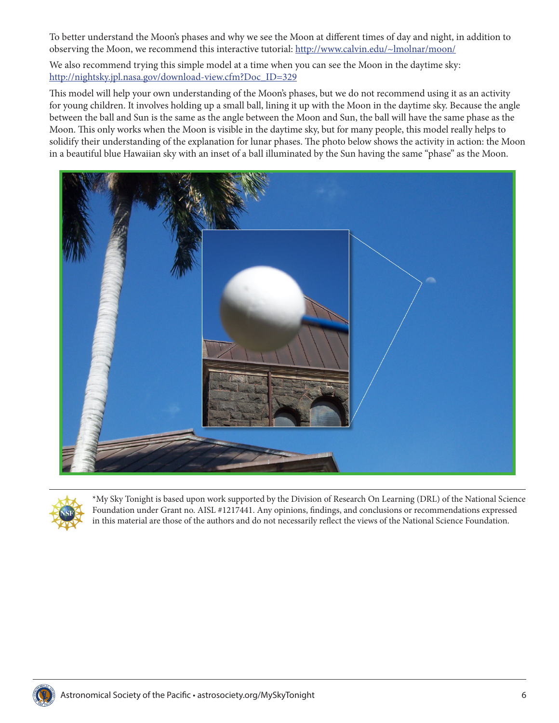To better understand the Moon's phases and why we see the Moon at different times of day and night, in addition to observing the Moon, we recommend this interactive tutorial: <http://www.calvin.edu/~lmolnar/moon/>

We also recommend trying this simple model at a time when you can see the Moon in the daytime sky: [http://nightsky.jpl.nasa.gov/download-view.cfm?Doc\\_ID=329](http://nightsky.jpl.nasa.gov/download-view.cfm?Doc_ID=329)

This model will help your own understanding of the Moon's phases, but we do not recommend using it as an activity for young children. It involves holding up a small ball, lining it up with the Moon in the daytime sky. Because the angle between the ball and Sun is the same as the angle between the Moon and Sun, the ball will have the same phase as the Moon. This only works when the Moon is visible in the daytime sky, but for many people, this model really helps to solidify their understanding of the explanation for lunar phases. The photo below shows the activity in action: the Moon in a beautiful blue Hawaiian sky with an inset of a ball illuminated by the Sun having the same "phase" as the Moon.





\*My Sky Tonight is based upon work supported by the Division of Research On Learning (DRL) of the National Science Foundation under Grant no. AISL #1217441. Any opinions, findings, and conclusions or recommendations expressed in this material are those of the authors and do not necessarily reflect the views of the National Science Foundation.

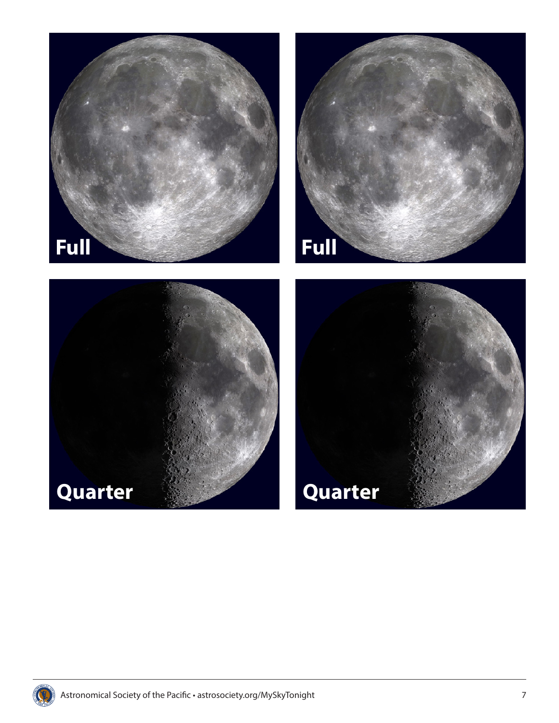